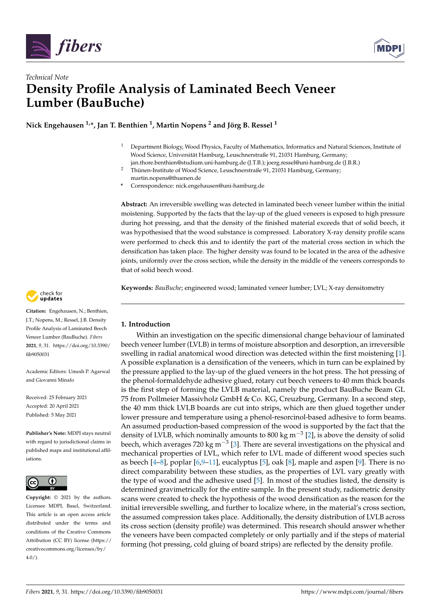



# *Technical Note* **Density Profile Analysis of Laminated Beech Veneer Lumber (BauBuche)**

**Nick Engehausen 1,\*, Jan T. Benthien <sup>1</sup> , Martin Nopens <sup>2</sup> and Jörg B. Ressel <sup>1</sup>**

- <sup>1</sup> Department Biology, Wood Physics, Faculty of Mathematics, Informatics and Natural Sciences, Institute of Wood Science, Universität Hamburg, Leuschnerstraße 91, 21031 Hamburg, Germany; jan.thore.benthien@studium.uni-hamburg.de (J.T.B.); joerg.ressel@uni-hamburg.de (J.B.R.)
- <sup>2</sup> Thünen-Institute of Wood Science, Leuschnerstraße 91, 21031 Hamburg, Germany; martin.nopens@thuenen.de
- **\*** Correspondence: nick.engehausen@uni-hamburg.de

**Abstract:** An irreversible swelling was detected in laminated beech veneer lumber within the initial moistening. Supported by the facts that the lay-up of the glued veneers is exposed to high pressure during hot pressing, and that the density of the finished material exceeds that of solid beech, it was hypothesised that the wood substance is compressed. Laboratory X-ray density profile scans were performed to check this and to identify the part of the material cross section in which the densification has taken place. The higher density was found to be located in the area of the adhesive joints, uniformly over the cross section, while the density in the middle of the veneers corresponds to that of solid beech wood.

**Keywords:** *BauBuche*; engineered wood; laminated veneer lumber; LVL; X-ray densitometry

# check for<br>undates

**Citation:** Engehausen, N.; Benthien, J.T.; Nopens, M.; Ressel, J.B. Density Profile Analysis of Laminated Beech Veneer Lumber (BauBuche). *Fibers* **2021**, *9*, 31. [https://doi.org/10.3390/](https://doi.org/10.3390/fib9050031) [fib9050031](https://doi.org/10.3390/fib9050031)

Academic Editors: Umesh P. Agarwal and Giovanni Minafo

Received: 25 February 2021 Accepted: 20 April 2021 Published: 5 May 2021

**Publisher's Note:** MDPI stays neutral with regard to jurisdictional claims in published maps and institutional affiliations.



**Copyright:** © 2021 by the authors. Licensee MDPI, Basel, Switzerland. This article is an open access article distributed under the terms and conditions of the Creative Commons Attribution (CC BY) license (https:/[/](https://creativecommons.org/licenses/by/4.0/) [creativecommons.org/licenses/by/](https://creativecommons.org/licenses/by/4.0/)  $4.0/$ ).

# **1. Introduction**

Within an investigation on the specific dimensional change behaviour of laminated beech veneer lumber (LVLB) in terms of moisture absorption and desorption, an irreversible swelling in radial anatomical wood direction was detected within the first moistening [\[1\]](#page-3-0). A possible explanation is a densification of the veneers, which in turn can be explained by the pressure applied to the lay-up of the glued veneers in the hot press. The hot pressing of the phenol-formaldehyde adhesive glued, rotary cut beech veneers to 40 mm thick boards is the first step of forming the LVLB material, namely the product BauBuche Beam GL 75 from Pollmeier Massivholz GmbH & Co. KG, Creuzburg, Germany. In a second step, the 40 mm thick LVLB boards are cut into strips, which are then glued together under lower pressure and temperature using a phenol-resorcinol-based adhesive to form beams. An assumed production-based compression of the wood is supported by the fact that the density of LVLB, which nominally amounts to 800 kg m<sup>-3</sup> [\[2\]](#page-3-1), is above the density of solid beech, which averages 720 kg m<sup>-3</sup> [\[3\]](#page-3-2). There are several investigations on the physical and mechanical properties of LVL, which refer to LVL made of different wood species such as beech  $[4-8]$  $[4-8]$ , poplar  $[6,9-11]$  $[6,9-11]$  $[6,9-11]$ , eucalyptus  $[5]$ , oak  $[8]$ , maple and aspen  $[9]$ . There is no direct comparability between these studies, as the properties of LVL vary greatly with the type of wood and the adhesive used [\[5\]](#page-3-8). In most of the studies listed, the density is determined gravimetrically for the entire sample. In the present study, radiometric density scans were created to check the hypothesis of the wood densification as the reason for the initial irreversible swelling, and further to localize where, in the material's cross section, the assumed compression takes place. Additionally, the density distribution of LVLB across its cross section (density profile) was determined. This research should answer whether the veneers have been compacted completely or only partially and if the steps of material forming (hot pressing, cold gluing of board strips) are reflected by the density profile.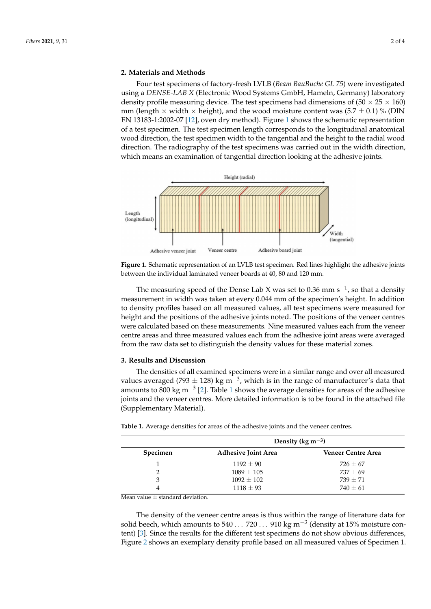#### **2. Materials and Methods**

Four test specimens of factory-fresh LVLB (*Beam BauBuche GL 75*) were investigated using a *DENSE-LAB X* (Electronic Wood Systems GmbH, Hameln, Germany) laboratory density profile measuring device. The test specimens had dimensions of  $(50 \times 25 \times 160)$ mm (length  $\times$  width  $\times$  height), and the wood moisture content was (5.7  $\pm$  0.1) % (DIN EN 13183-1:2002-07 [\[12\]](#page-3-9), oven dry method). Figure [1](#page-1-0) shows the schematic representation of a test specimen. The test specimen length corresponds to the longitudinal anatomical wood direction, the test specimen width to the tangential and the height to the radial wood direction. The radiography of the test specimens was carried out in the width direction, which means an examination of tangential direction looking at the adhesive joints.

<span id="page-1-0"></span>

**Figure 1.** Schematic representation of an LVLB test specimen. Red lines highlight the adhesive joints between the individual laminated veneer boards at 40, 80 and 120 mm.

The measuring speed of the Dense Lab X was set to 0.36 mm s<sup>-1</sup>, so that a density measurement in width was taken at every 0.044 mm of the specimen's height. In addition to density profiles based on all measured values, all test specimens were measured for height and the positions of the adhesive joints noted. The positions of the veneer centres were calculated based on these measurements. Nine measured values each from the veneer centre areas and three measured values each from the adhesive joint areas were averaged from the raw data set to distinguish the density values for these material zones.

### **3. Results and Discussion**

The densities of all examined specimens were in a similar range and over all measured values averaged (793  $\pm$  128) kg m<sup>-3</sup>, which is in the range of manufacturer's data that amounts to 800 kg m<sup>-3</sup> [\[2\]](#page-3-1). Table [1](#page-1-1) shows the average densities for areas of the adhesive joints and the veneer centres. More detailed information is to be found in the attached file (Supplementary Material).

|          | Density (kg m <sup><math>-3</math></sup> ) |                           |
|----------|--------------------------------------------|---------------------------|
| Specimen | <b>Adhesive Joint Area</b>                 | <b>Veneer Centre Area</b> |
|          | $1192 + 90$                                | $726 \pm 67$              |
|          | $1089 \pm 105$                             | $737 + 69$                |
| 3        | $1092 \pm 102$                             | $739 + 71$                |
|          | $1118 \pm 93$                              | $740 + 61$                |

<span id="page-1-1"></span>**Table 1.** Average densities for areas of the adhesive joints and the veneer centres.

Mean value  $\pm$  standard deviation.

The density of the veneer centre areas is thus within the range of literature data for solid beech, which amounts to 540 . . . 720 . . . 910 kg m<sup>-3</sup> (density at 15% moisture content) [\[3\]](#page-3-2). Since the results for the different test specimens do not show obvious differences, Figure [2](#page-2-0) shows an exemplary density profile based on all measured values of Specimen 1.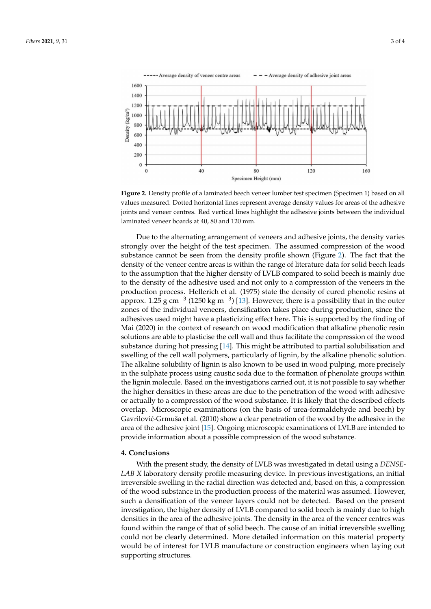<span id="page-2-0"></span>

**Figure 2.** Density profile of a laminated beech veneer lumber test specimen (Specimen 1) based on all values measured. Dotted horizontal lines represent average density values for areas of the adhesive joints and veneer centres. Red vertical lines highlight the adhesive joints between the individual laminated veneer boards at 40, 80 and 120 mm.

Due to the alternating arrangement of veneers and adhesive joints, the density varies strongly over the height of the test specimen. The assumed compression of the wood substance cannot be seen from the density profile shown (Figure [2\)](#page-2-0). The fact that the density of the veneer centre areas is within the range of literature data for solid beech leads to the assumption that the higher density of LVLB compared to solid beech is mainly due to the density of the adhesive used and not only to a compression of the veneers in the production process. Hellerich et al. (1975) state the density of cured phenolic resins at approx. 1.25  $\rm g$  cm<sup>−3</sup> (1250 kg m<sup>−3</sup>) [\[13\]](#page-3-10). However, there is a possibility that in the outer zones of the individual veneers, densification takes place during production, since the adhesives used might have a plasticizing effect here. This is supported by the finding of Mai (2020) in the context of research on wood modification that alkaline phenolic resin solutions are able to plasticise the cell wall and thus facilitate the compression of the wood substance during hot pressing [\[14\]](#page-3-11). This might be attributed to partial solubilisation and swelling of the cell wall polymers, particularly of lignin, by the alkaline phenolic solution. The alkaline solubility of lignin is also known to be used in wood pulping, more precisely in the sulphate process using caustic soda due to the formation of phenolate groups within the lignin molecule. Based on the investigations carried out, it is not possible to say whether the higher densities in these areas are due to the penetration of the wood with adhesive or actually to a compression of the wood substance. It is likely that the described effects overlap. Microscopic examinations (on the basis of urea-formaldehyde and beech) by Gavrilović-Grmuša et al. (2010) show a clear penetration of the wood by the adhesive in the area of the adhesive joint [\[15\]](#page-3-12). Ongoing microscopic examinations of LVLB are intended to provide information about a possible compression of the wood substance.

#### **4. Conclusions**

With the present study, the density of LVLB was investigated in detail using a *DENSE-LAB X* laboratory density profile measuring device. In previous investigations, an initial irreversible swelling in the radial direction was detected and, based on this, a compression of the wood substance in the production process of the material was assumed. However, such a densification of the veneer layers could not be detected. Based on the present investigation, the higher density of LVLB compared to solid beech is mainly due to high densities in the area of the adhesive joints. The density in the area of the veneer centres was found within the range of that of solid beech. The cause of an initial irreversible swelling could not be clearly determined. More detailed information on this material property would be of interest for LVLB manufacture or construction engineers when laying out supporting structures.